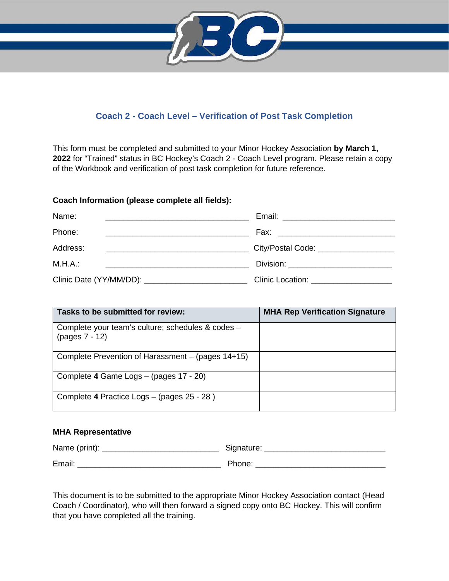

# **Coach 2 - Coach Level – Verification of Post Task Completion**

This form must be completed and submitted to your Minor Hockey Association **by March 1, 2022** for "Trained" status in BC Hockey's Coach 2 - Coach Level program. Please retain a copy of the Workbook and verification of post task completion for future reference.

### **Coach Information (please complete all fields):**

| Name:<br><u> 1989 - Andrea Barbara, poeta esperanto-</u>                                                                         |                                                      |
|----------------------------------------------------------------------------------------------------------------------------------|------------------------------------------------------|
| Phone:<br><u> 1989 - Johann Barbara, martin da kasar da shekara 1989 - An an tsara 1989 - An daoine an tsara 1989 - An daoin</u> |                                                      |
| Address:                                                                                                                         | City/Postal Code: _____________________              |
| M.H.A.:<br><u> 2000 - Johann Barbara, martin da basa</u>                                                                         | Division: ____________________________               |
|                                                                                                                                  | Clinic Location: Elimination of the Clinic Location: |

| Tasks to be submitted for review:                                   | <b>MHA Rep Verification Signature</b> |
|---------------------------------------------------------------------|---------------------------------------|
| Complete your team's culture; schedules & codes -<br>(pages 7 - 12) |                                       |
| Complete Prevention of Harassment – (pages 14+15)                   |                                       |
| Complete 4 Game Logs - (pages 17 - 20)                              |                                       |
| Complete 4 Practice Logs - (pages 25 - 28)                          |                                       |

## **MHA Representative**

| Name (print): | Signature: |
|---------------|------------|
| Email:        | Phone:     |

This document is to be submitted to the appropriate Minor Hockey Association contact (Head Coach / Coordinator), who will then forward a signed copy onto BC Hockey. This will confirm that you have completed all the training.